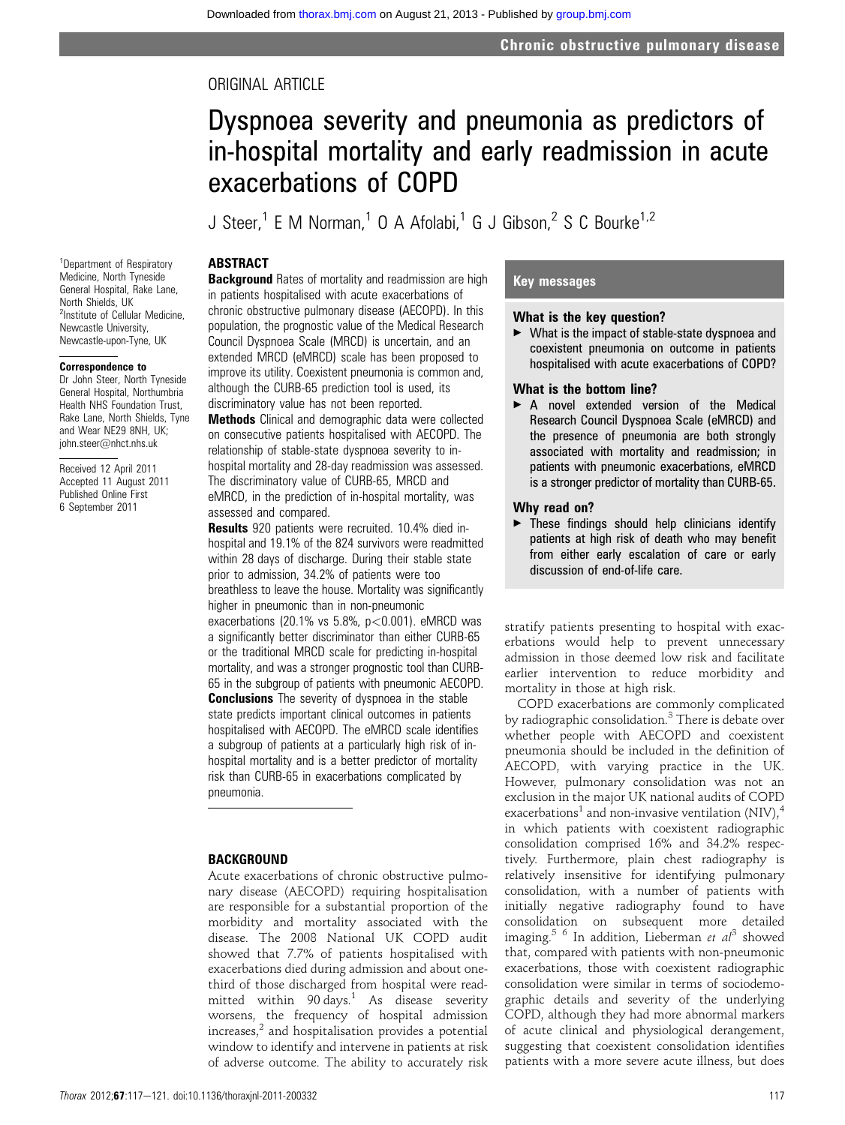## ORIGINAL ARTICLE

# Dyspnoea severity and pneumonia as predictors of in-hospital mortality and early readmission in acute exacerbations of COPD

J Steer,<sup>1</sup> E M Norman,<sup>1</sup> O A Afolabi,<sup>1</sup> G J Gibson,<sup>2</sup> S C Bourke<sup>1,2</sup>

## **ABSTRACT**

<sup>1</sup>Department of Respiratory Medicine, North Tyneside General Hospital, Rake Lane, North Shields, UK <sup>2</sup>Institute of Cellular Medicine, Newcastle University, Newcastle-upon-Tyne, UK

#### Correspondence to

Dr John Steer, North Tyneside General Hospital, Northumbria Health NHS Foundation Trust, Rake Lane, North Shields, Tyne and Wear NE29 8NH, UK; john.steer@nhct.nhs.uk

Received 12 April 2011 Accepted 11 August 2011 Published Online First 6 September 2011

**Background** Rates of mortality and readmission are high in patients hospitalised with acute exacerbations of chronic obstructive pulmonary disease (AECOPD). In this population, the prognostic value of the Medical Research Council Dyspnoea Scale (MRCD) is uncertain, and an extended MRCD (eMRCD) scale has been proposed to improve its utility. Coexistent pneumonia is common and, although the CURB-65 prediction tool is used, its discriminatory value has not been reported.

**Methods** Clinical and demographic data were collected on consecutive patients hospitalised with AECOPD. The relationship of stable-state dyspnoea severity to inhospital mortality and 28-day readmission was assessed. The discriminatory value of CURB-65, MRCD and eMRCD, in the prediction of in-hospital mortality, was assessed and compared.

Results 920 patients were recruited. 10.4% died inhospital and 19.1% of the 824 survivors were readmitted within 28 days of discharge. During their stable state prior to admission, 34.2% of patients were too breathless to leave the house. Mortality was significantly higher in pneumonic than in non-pneumonic

exacerbations (20.1% vs  $5.8\%$ ,  $p < 0.001$ ). eMRCD was a significantly better discriminator than either CURB-65 or the traditional MRCD scale for predicting in-hospital mortality, and was a stronger prognostic tool than CURB-65 in the subgroup of patients with pneumonic AECOPD.

**Conclusions** The severity of dyspnoea in the stable state predicts important clinical outcomes in patients hospitalised with AECOPD. The eMRCD scale identifies a subgroup of patients at a particularly high risk of inhospital mortality and is a better predictor of mortality risk than CURB-65 in exacerbations complicated by pneumonia.

## **BACKGROUND**

Acute exacerbations of chronic obstructive pulmonary disease (AECOPD) requiring hospitalisation are responsible for a substantial proportion of the morbidity and mortality associated with the disease. The 2008 National UK COPD audit showed that 7.7% of patients hospitalised with exacerbations died during admission and about onethird of those discharged from hospital were readmitted within  $90 \text{ days}$ .<sup>1</sup> As disease severity worsens, the frequency of hospital admission increases, $<sup>2</sup>$  and hospitalisation provides a potential</sup> window to identify and intervene in patients at risk of adverse outcome. The ability to accurately risk

## Key messages

## What is the key question?

 $\blacktriangleright$  What is the impact of stable-state dyspnoea and coexistent pneumonia on outcome in patients hospitalised with acute exacerbations of COPD?

#### What is the bottom line?

A novel extended version of the Medical Research Council Dyspnoea Scale (eMRCD) and the presence of pneumonia are both strongly associated with mortality and readmission; in patients with pneumonic exacerbations, eMRCD is a stronger predictor of mortality than CURB-65.

#### Why read on?

 $\blacktriangleright$  These findings should help clinicians identify patients at high risk of death who may benefit from either early escalation of care or early discussion of end-of-life care.

stratify patients presenting to hospital with exacerbations would help to prevent unnecessary admission in those deemed low risk and facilitate earlier intervention to reduce morbidity and mortality in those at high risk.

COPD exacerbations are commonly complicated by radiographic consolidation.<sup>3</sup> There is debate over whether people with AECOPD and coexistent pneumonia should be included in the definition of AECOPD, with varying practice in the UK. However, pulmonary consolidation was not an exclusion in the major UK national audits of COPD exacerbations<sup>1</sup> and non-invasive ventilation (NIV),<sup>4</sup> in which patients with coexistent radiographic consolidation comprised 16% and 34.2% respectively. Furthermore, plain chest radiography is relatively insensitive for identifying pulmonary consolidation, with a number of patients with initially negative radiography found to have consolidation on subsequent more detailed imaging.<sup>5 6</sup> In addition, Lieberman et  $al^3$  showed that, compared with patients with non-pneumonic exacerbations, those with coexistent radiographic consolidation were similar in terms of sociodemographic details and severity of the underlying COPD, although they had more abnormal markers of acute clinical and physiological derangement, suggesting that coexistent consolidation identifies patients with a more severe acute illness, but does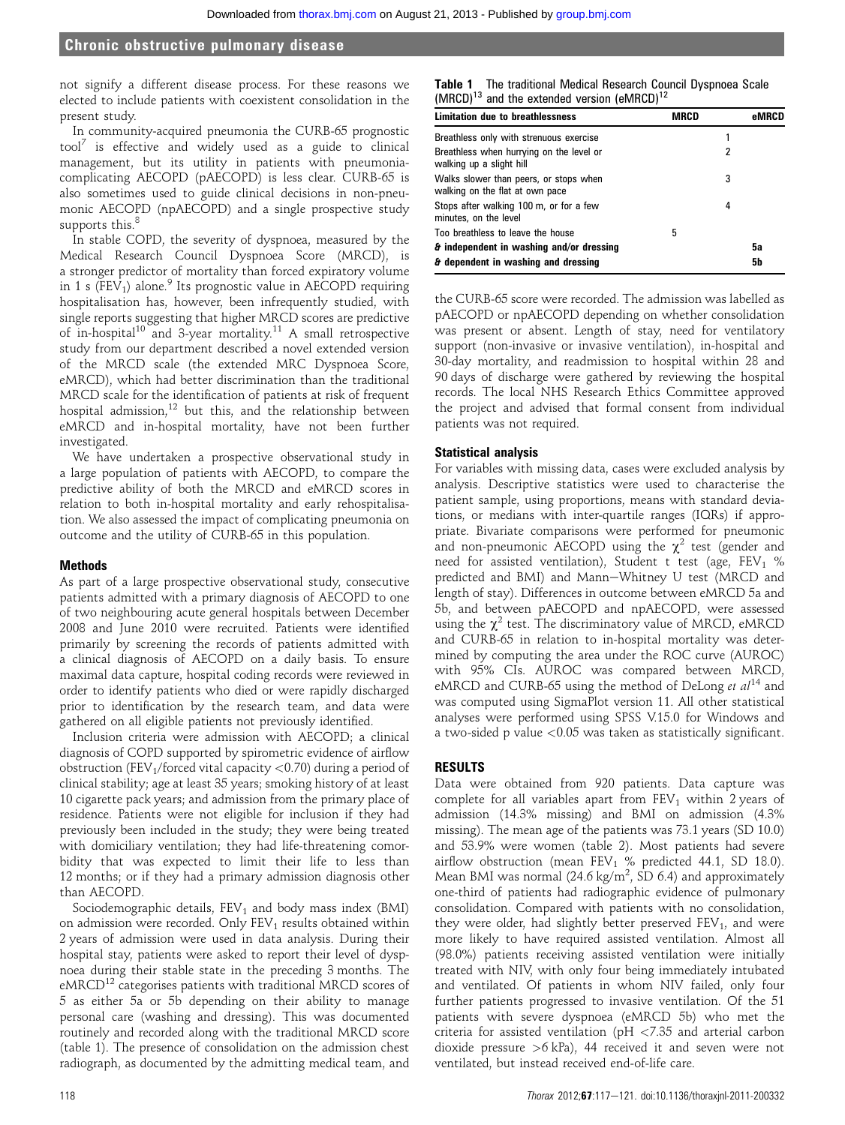not signify a different disease process. For these reasons we elected to include patients with coexistent consolidation in the present study.

In community-acquired pneumonia the CURB-65 prognostic  $tool^7$  is effective and widely used as a guide to clinical management, but its utility in patients with pneumoniacomplicating AECOPD (pAECOPD) is less clear. CURB-65 is also sometimes used to guide clinical decisions in non-pneumonic AECOPD (npAECOPD) and a single prospective study supports this.<sup>8</sup>

In stable COPD, the severity of dyspnoea, measured by the Medical Research Council Dyspnoea Score (MRCD), is a stronger predictor of mortality than forced expiratory volume in 1 s (FEV<sub>1</sub>) alone.<sup>9</sup> Its prognostic value in AECOPD requiring hospitalisation has, however, been infrequently studied, with single reports suggesting that higher MRCD scores are predictive of in-hospital<sup>10</sup> and 3-year mortality.<sup>11</sup> A small retrospective study from our department described a novel extended version of the MRCD scale (the extended MRC Dyspnoea Score, eMRCD), which had better discrimination than the traditional MRCD scale for the identification of patients at risk of frequent hospital admission,<sup>12</sup> but this, and the relationship between eMRCD and in-hospital mortality, have not been further investigated.

We have undertaken a prospective observational study in a large population of patients with AECOPD, to compare the predictive ability of both the MRCD and eMRCD scores in relation to both in-hospital mortality and early rehospitalisation. We also assessed the impact of complicating pneumonia on outcome and the utility of CURB-65 in this population.

#### Methods

As part of a large prospective observational study, consecutive patients admitted with a primary diagnosis of AECOPD to one of two neighbouring acute general hospitals between December 2008 and June 2010 were recruited. Patients were identified primarily by screening the records of patients admitted with a clinical diagnosis of AECOPD on a daily basis. To ensure maximal data capture, hospital coding records were reviewed in order to identify patients who died or were rapidly discharged prior to identification by the research team, and data were gathered on all eligible patients not previously identified.

Inclusion criteria were admission with AECOPD; a clinical diagnosis of COPD supported by spirometric evidence of airflow obstruction (FEV<sub>1</sub>/forced vital capacity  $\langle 0.70 \rangle$  during a period of clinical stability; age at least 35 years; smoking history of at least 10 cigarette pack years; and admission from the primary place of residence. Patients were not eligible for inclusion if they had previously been included in the study; they were being treated with domiciliary ventilation; they had life-threatening comorbidity that was expected to limit their life to less than 12 months; or if they had a primary admission diagnosis other than AECOPD.

Sociodemographic details,  $FEV<sub>1</sub>$  and body mass index (BMI) on admission were recorded. Only  $FEV<sub>1</sub>$  results obtained within 2 years of admission were used in data analysis. During their hospital stay, patients were asked to report their level of dyspnoea during their stable state in the preceding 3 months. The  $e$ MRCD<sup>12</sup> categorises patients with traditional MRCD scores of 5 as either 5a or 5b depending on their ability to manage personal care (washing and dressing). This was documented routinely and recorded along with the traditional MRCD score (table 1). The presence of consolidation on the admission chest radiograph, as documented by the admitting medical team, and

| Limitation due to breathlessness                                          | <b>MRCD</b> |   | eMRCl |
|---------------------------------------------------------------------------|-------------|---|-------|
| Breathless only with strenuous exercise                                   |             |   |       |
| Breathless when hurrying on the level or<br>walking up a slight hill      |             | 2 |       |
| Walks slower than peers, or stops when<br>walking on the flat at own pace |             | 3 |       |
| Stops after walking 100 m, or for a few<br>minutes, on the level          |             | 4 |       |
| Too breathless to leave the house                                         | 5           |   |       |
| $\boldsymbol{\delta}$ independent in washing and/or dressing              |             |   | 5a    |
| & dependent in washing and dressing                                       |             |   | 5b    |

the CURB-65 score were recorded. The admission was labelled as pAECOPD or npAECOPD depending on whether consolidation was present or absent. Length of stay, need for ventilatory support (non-invasive or invasive ventilation), in-hospital and 30-day mortality, and readmission to hospital within 28 and 90 days of discharge were gathered by reviewing the hospital records. The local NHS Research Ethics Committee approved the project and advised that formal consent from individual patients was not required.

## Statistical analysis

For variables with missing data, cases were excluded analysis by analysis. Descriptive statistics were used to characterise the patient sample, using proportions, means with standard deviations, or medians with inter-quartile ranges (IQRs) if appropriate. Bivariate comparisons were performed for pneumonic and non-pneumonic AECOPD using the  $\chi^2$  test (gender and need for assisted ventilation), Student t test (age,  $FEV_1$  % predicted and BMI) and Mann-Whitney U test (MRCD and length of stay). Differences in outcome between eMRCD 5a and 5b, and between pAECOPD and npAECOPD, were assessed using the  $\chi^2$  test. The discriminatory value of MRCD, eMRCD and CURB-65 in relation to in-hospital mortality was determined by computing the area under the ROC curve (AUROC) with 95% CIs. AUROC was compared between MRCD, eMRCD and CURB-65 using the method of DeLong et  $al^{14}$  and was computed using SigmaPlot version 11. All other statistical analyses were performed using SPSS V.15.0 for Windows and a two-sided p value <0.05 was taken as statistically significant.

## RESULTS

Data were obtained from 920 patients. Data capture was complete for all variables apart from  $FEV<sub>1</sub>$  within 2 years of admission (14.3% missing) and BMI on admission (4.3% missing). The mean age of the patients was 73.1 years (SD 10.0) and 53.9% were women (table 2). Most patients had severe airflow obstruction (mean  $FEV_1$  % predicted 44.1, SD 18.0). Mean BMI was normal  $(24.6 \text{ kg/m}^2, \text{SD } 6.4)$  and approximately one-third of patients had radiographic evidence of pulmonary consolidation. Compared with patients with no consolidation, they were older, had slightly better preserved  $FEV<sub>1</sub>$ , and were more likely to have required assisted ventilation. Almost all (98.0%) patients receiving assisted ventilation were initially treated with NIV, with only four being immediately intubated and ventilated. Of patients in whom NIV failed, only four further patients progressed to invasive ventilation. Of the 51 patients with severe dyspnoea (eMRCD 5b) who met the criteria for assisted ventilation (pH <7.35 and arterial carbon dioxide pressure >6 kPa), 44 received it and seven were not ventilated, but instead received end-of-life care.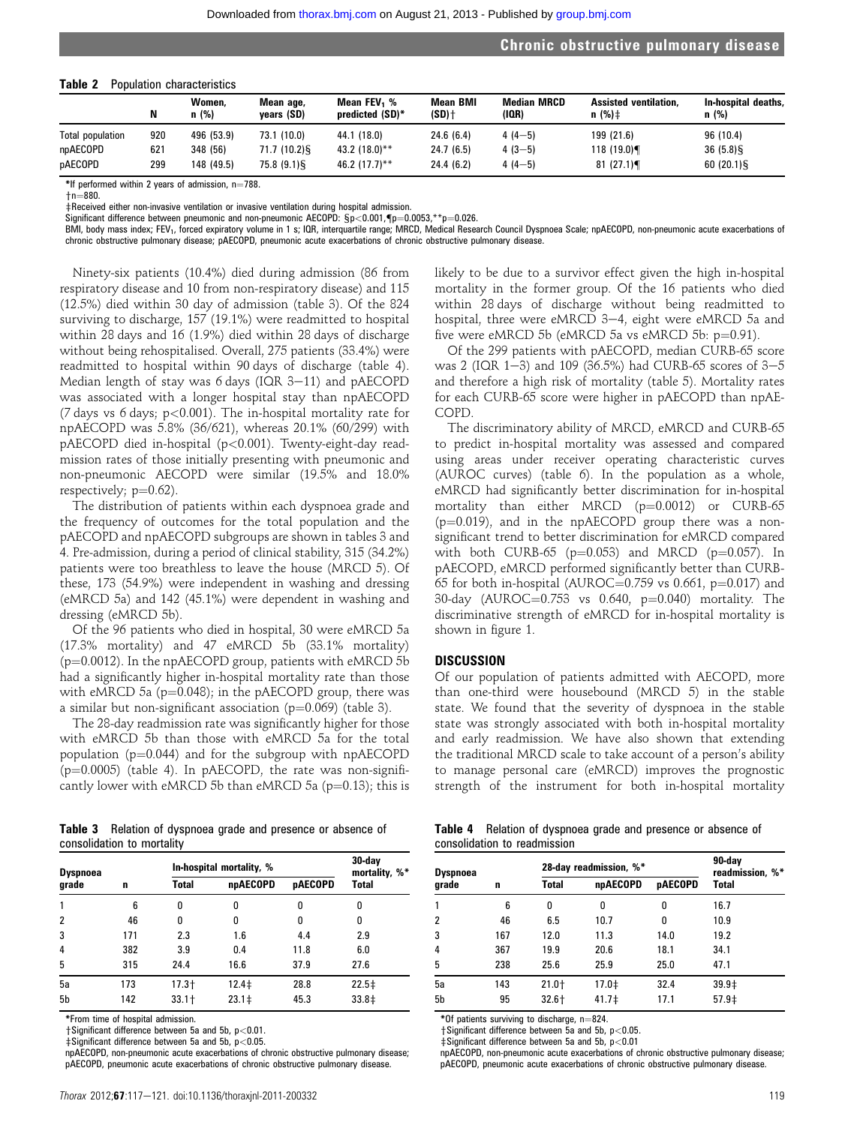#### Table 2 Population characteristics

| TUDIU L          | N   | <u>opulution chuructonotico</u><br>Women.<br>n(%) | Mean age,<br>years (SD) | Mean FEV <sub>1</sub> %<br>predicted (SD)* | <b>Mean BMI</b><br>$(SD)$ † | Median MRCD<br>(IQR) | <b>Assisted ventilation.</b><br>$n$ (%) $\pm$ | In-hospital deaths,<br>n(%) |
|------------------|-----|---------------------------------------------------|-------------------------|--------------------------------------------|-----------------------------|----------------------|-----------------------------------------------|-----------------------------|
| Total population | 920 | 496 (53.9)                                        | 73.1 (10.0)             | 44.1 (18.0)                                | 24.6(6.4)                   | $4(4-5)$             | 199 (21.6)                                    | 96 (10.4)                   |
| npAECOPD         | 621 | 348 (56)                                          | 71.7 (10.2)§            | 43.2 (18.0)**                              | 24.7(6.5)                   | $4(3-5)$             | 118 (19.0)¶                                   | 36(5.8)                     |
| pAECOPD          | 299 | 148 (49.5)                                        | 75.8 (9.1) \$           | 46.2 $(17.7)$ **                           | 24.4(6.2)                   | $4(4-5)$             | 81(27.1)                                      | 60(20.1)                    |

\*If performed within 2 years of admission,  $n=788$ .

 $+n = 880.$ 

 $\ddot{\pm}$ Received either non-invasive ventilation or invasive ventilation during hospital admission.

Significant difference between pneumonic and non-pneumonic AECOPD:  $Sp < 0.001$ ,  $[$ p=0.0053, \*\*p=0.026.

BMI, body mass index; FEV<sub>1</sub>, forced expiratory volume in 1 s; IQR, interquartile range; MRCD, Medical Research Council Dyspnoea Scale; npAECOPD, non-pneumonic acute exacerbations of chronic obstructive pulmonary disease; pAECOPD, pneumonic acute exacerbations of chronic obstructive pulmonary disease.

Ninety-six patients (10.4%) died during admission (86 from respiratory disease and 10 from non-respiratory disease) and 115 (12.5%) died within 30 day of admission (table 3). Of the 824 surviving to discharge, 157 (19.1%) were readmitted to hospital within 28 days and 16 (1.9%) died within 28 days of discharge without being rehospitalised. Overall, 275 patients (33.4%) were readmitted to hospital within 90 days of discharge (table 4). Median length of stay was  $6$  days (IQR  $3-11$ ) and pAECOPD was associated with a longer hospital stay than npAECOPD (7 days vs 6 days; p<0.001). The in-hospital mortality rate for npAECOPD was 5.8% (36/621), whereas 20.1% (60/299) with pAECOPD died in-hospital (p<0.001). Twenty-eight-day readmission rates of those initially presenting with pneumonic and non-pneumonic AECOPD were similar (19.5% and 18.0% respectively;  $p=0.62$ ).

The distribution of patients within each dyspnoea grade and the frequency of outcomes for the total population and the pAECOPD and npAECOPD subgroups are shown in tables 3 and 4. Pre-admission, during a period of clinical stability, 315 (34.2%) patients were too breathless to leave the house (MRCD 5). Of these, 173 (54.9%) were independent in washing and dressing (eMRCD 5a) and 142 (45.1%) were dependent in washing and dressing (eMRCD 5b).

Of the 96 patients who died in hospital, 30 were eMRCD 5a (17.3% mortality) and 47 eMRCD 5b (33.1% mortality) ( $p=0.0012$ ). In the npAECOPD group, patients with eMRCD 5b had a significantly higher in-hospital mortality rate than those with eMRCD 5a ( $p=0.048$ ); in the pAECOPD group, there was a similar but non-significant association ( $p=0.069$ ) (table 3).

The 28-day readmission rate was significantly higher for those with eMRCD 5b than those with eMRCD 5a for the total population ( $p=0.044$ ) and for the subgroup with npAECOPD  $(p=0.0005)$  (table 4). In pAECOPD, the rate was non-significantly lower with eMRCD 5b than eMRCD 5a ( $p=0.13$ ); this is

| <b>Table 3</b> Relation of dyspnoea grade and presence or absence of |  |  |  |  |
|----------------------------------------------------------------------|--|--|--|--|
| consolidation to mortality                                           |  |  |  |  |

| Dyspnoea       |     | 30-day<br>mortality, %* |            |                |                   |
|----------------|-----|-------------------------|------------|----------------|-------------------|
| grade          | n   | Total                   | npAECOPD   | <b>pAECOPD</b> | <b>Total</b>      |
| 1              | 6   | 0                       | 0          | 0              | 0                 |
| $\overline{2}$ | 46  | 0                       | 0          | 0              | 0                 |
| 3              | 171 | 2.3                     | 1.6        | 4.4            | 2.9               |
| 4              | 382 | 3.9                     | 0.4        | 11.8           | 6.0               |
| 5              | 315 | 24.4                    | 16.6       | 37.9           | 27.6              |
| 5a             | 173 | $17.3 +$                | $12.4 \pm$ | 28.8           | 22.5 <sup>‡</sup> |
| 5b             | 142 | $33.1 +$                | $23.1 \pm$ | 45.3           | 33.8 <sup>‡</sup> |

\*From time of hospital admission.

 $\dagger$ Significant difference between 5a and 5b, p<0.01.

 $\pm$ Significant difference between 5a and 5b, p<0.05

npAECOPD, non-pneumonic acute exacerbations of chronic obstructive pulmonary disease; pAECOPD, pneumonic acute exacerbations of chronic obstructive pulmonary disease.

likely to be due to a survivor effect given the high in-hospital mortality in the former group. Of the 16 patients who died within 28 days of discharge without being readmitted to hospital, three were eMRCD 3-4, eight were eMRCD 5a and five were eMRCD 5b (eMRCD 5a vs eMRCD 5b:  $p=0.91$ ).

Of the 299 patients with pAECOPD, median CURB-65 score was 2 (IQR 1-3) and 109 (36.5%) had CURB-65 scores of  $3-5$ and therefore a high risk of mortality (table 5). Mortality rates for each CURB-65 score were higher in pAECOPD than npAE-COPD.

The discriminatory ability of MRCD, eMRCD and CURB-65 to predict in-hospital mortality was assessed and compared using areas under receiver operating characteristic curves (AUROC curves) (table 6). In the population as a whole, eMRCD had significantly better discrimination for in-hospital mortality than either MRCD  $(p=0.0012)$  or CURB-65  $(p=0.019)$ , and in the npAECOPD group there was a nonsignificant trend to better discrimination for eMRCD compared with both CURB-65 ( $p=0.053$ ) and MRCD ( $p=0.057$ ). In pAECOPD, eMRCD performed significantly better than CURB-65 for both in-hospital (AUROC=0.759 vs 0.661, p=0.017) and 30-day (AUROC $=0.753$  vs 0.640, p $=0.040$ ) mortality. The discriminative strength of eMRCD for in-hospital mortality is shown in figure 1.

#### DISCUSSION

Of our population of patients admitted with AECOPD, more than one-third were housebound (MRCD 5) in the stable state. We found that the severity of dyspnoea in the stable state was strongly associated with both in-hospital mortality and early readmission. We have also shown that extending the traditional MRCD scale to take account of a person's ability to manage personal care (eMRCD) improves the prognostic strength of the instrument for both in-hospital mortality

|                              | <b>Table 4</b> Relation of dyspnoea grade and presence or absence of |  |  |  |
|------------------------------|----------------------------------------------------------------------|--|--|--|
| consolidation to readmission |                                                                      |  |  |  |

| Dyspnoea |     | 28-day readmission, %* | 90-day<br>readmission, %* |                |              |
|----------|-----|------------------------|---------------------------|----------------|--------------|
| grade    | n   | Total                  | npAECOPD                  | <b>pAECOPD</b> | <b>Total</b> |
|          | 6   | 0                      | 0                         | 0              | 16.7         |
| 2        | 46  | 6.5                    | 10.7                      | 0              | 10.9         |
| 3        | 167 | 12.0                   | 11.3                      | 14.0           | 19.2         |
| 4        | 367 | 19.9                   | 20.6                      | 18.1           | 34.1         |
| 5        | 238 | 25.6                   | 25.9                      | 25.0           | 47.1         |
| 5а       | 143 | $21.0 +$               | $17.0 \pm$                | 32.4           | $39.9+$      |
| 5b       | 95  | $32.6 +$               | $41.7\pm$                 | 17.1           | $57.9+$      |

 $*$ Of patients surviving to discharge, n=824.

 $\dagger$ Significant difference between 5a and 5b, p<0.05.

 $\ddagger$ Significant difference between 5a and 5b, p<0.01

npAECOPD, non-pneumonic acute exacerbations of chronic obstructive pulmonary disease; pAECOPD, pneumonic acute exacerbations of chronic obstructive pulmonary disease.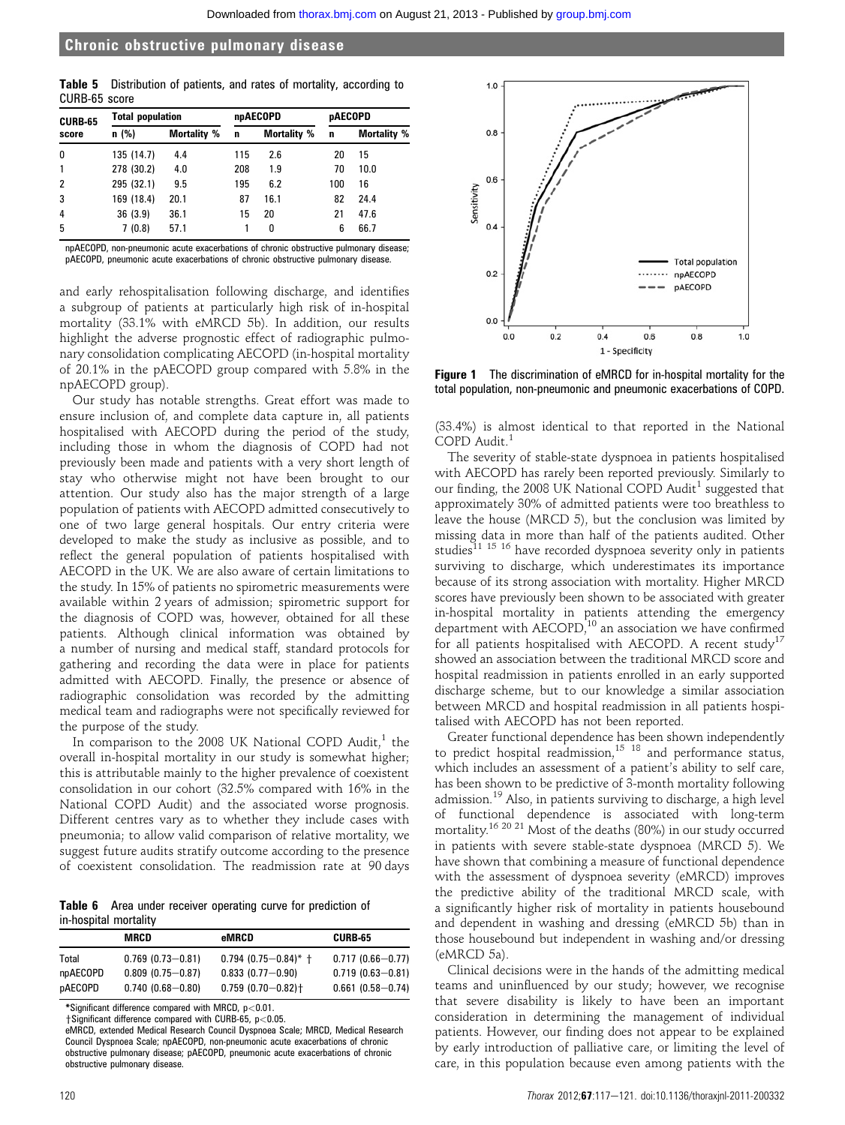|               | <b>Table 5</b> Distribution of patients, and rates of mortality, according to |  |  |  |  |
|---------------|-------------------------------------------------------------------------------|--|--|--|--|
| CURB-65 score |                                                                               |  |  |  |  |

| <b>CURB-65</b> | <b>Total population</b> |                    |     | npAECOPD           | <b>pAECOPD</b> |                    |  |
|----------------|-------------------------|--------------------|-----|--------------------|----------------|--------------------|--|
| score          | n(%)                    | <b>Mortality %</b> | n   | <b>Mortality %</b> | n              | <b>Mortality %</b> |  |
| 0              | 135 (14.7)              | 4.4                | 115 | 2.6                | 20             | 15                 |  |
|                | 278 (30.2)              | 4.0                | 208 | 1.9                | 70             | 10.0               |  |
| 2              | 295 (32.1)              | 9.5                | 195 | 6.2                | 100            | 16                 |  |
| 3              | 169 (18.4)              | 20.1               | 87  | 16.1               | 82             | 24.4               |  |
| 4              | 36(3.9)                 | 36.1               | 15  | 20                 | 21             | 47.6               |  |
| 5              | 7 (0.8)                 | 57.1               |     | n                  | 6              | 66.7               |  |

npAECOPD, non-pneumonic acute exacerbations of chronic obstructive pulmonary disease; pAECOPD, pneumonic acute exacerbations of chronic obstructive pulmonary disease.

and early rehospitalisation following discharge, and identifies a subgroup of patients at particularly high risk of in-hospital mortality (33.1% with eMRCD 5b). In addition, our results highlight the adverse prognostic effect of radiographic pulmonary consolidation complicating AECOPD (in-hospital mortality of 20.1% in the pAECOPD group compared with 5.8% in the npAECOPD group).

Our study has notable strengths. Great effort was made to ensure inclusion of, and complete data capture in, all patients hospitalised with AECOPD during the period of the study, including those in whom the diagnosis of COPD had not previously been made and patients with a very short length of stay who otherwise might not have been brought to our attention. Our study also has the major strength of a large population of patients with AECOPD admitted consecutively to one of two large general hospitals. Our entry criteria were developed to make the study as inclusive as possible, and to reflect the general population of patients hospitalised with AECOPD in the UK. We are also aware of certain limitations to the study. In 15% of patients no spirometric measurements were available within 2 years of admission; spirometric support for the diagnosis of COPD was, however, obtained for all these patients. Although clinical information was obtained by a number of nursing and medical staff, standard protocols for gathering and recording the data were in place for patients admitted with AECOPD. Finally, the presence or absence of radiographic consolidation was recorded by the admitting medical team and radiographs were not specifically reviewed for the purpose of the study.

In comparison to the 2008 UK National COPD Audit, $<sup>1</sup>$  the</sup> overall in-hospital mortality in our study is somewhat higher; this is attributable mainly to the higher prevalence of coexistent consolidation in our cohort (32.5% compared with 16% in the National COPD Audit) and the associated worse prognosis. Different centres vary as to whether they include cases with pneumonia; to allow valid comparison of relative mortality, we suggest future audits stratify outcome according to the presence of coexistent consolidation. The readmission rate at 90 days

Table 6 Area under receiver operating curve for prediction of in-hospital mortality

|          | MRCD                 | eMRCD                             | <b>CURB-65</b>       |
|----------|----------------------|-----------------------------------|----------------------|
| Total    | $0.769(0.73 - 0.81)$ | $0.794$ (0.75-0.84)* +            | $0.717(0.66 - 0.77)$ |
| npAECOPD | $0.809(0.75 - 0.87)$ | $0.833(0.77 - 0.90)$              | $0.719(0.63 - 0.81)$ |
| pAECOPD  | $0.740(0.68 - 0.80)$ | $0.759(0.70 - 0.82)$ <sup>+</sup> | $0.661(0.58 - 0.74)$ |

\*Significant difference compared with MRCD, p<0.01.

 $\dagger$ Significant difference compared with CURB-65, p<0.05.

eMRCD, extended Medical Research Council Dyspnoea Scale; MRCD, Medical Research Council Dyspnoea Scale; npAECOPD, non-pneumonic acute exacerbations of chronic obstructive pulmonary disease; pAECOPD, pneumonic acute exacerbations of chronic obstructive pulmonary disease.



Figure 1 The discrimination of eMRCD for in-hospital mortality for the total population, non-pneumonic and pneumonic exacerbations of COPD.

(33.4%) is almost identical to that reported in the National COPD Audit.<sup>1</sup>

The severity of stable-state dyspnoea in patients hospitalised with AECOPD has rarely been reported previously. Similarly to our finding, the 2008 UK National COPD Audit<sup>1</sup> suggested that approximately 30% of admitted patients were too breathless to leave the house (MRCD 5), but the conclusion was limited by missing data in more than half of the patients audited. Other studies<sup>11 15 16</sup> have recorded dyspnoea severity only in patients surviving to discharge, which underestimates its importance because of its strong association with mortality. Higher MRCD scores have previously been shown to be associated with greater in-hospital mortality in patients attending the emergency department with  $AECOPD<sub>10</sub><sup>10</sup>$  an association we have confirmed for all patients hospitalised with AECOPD. A recent study<sup>17</sup> showed an association between the traditional MRCD score and hospital readmission in patients enrolled in an early supported discharge scheme, but to our knowledge a similar association between MRCD and hospital readmission in all patients hospitalised with AECOPD has not been reported.

Greater functional dependence has been shown independently to predict hospital readmission,<sup>15 18</sup> and performance status, which includes an assessment of a patient's ability to self care, has been shown to be predictive of 3-month mortality following admission.<sup>19</sup> Also, in patients surviving to discharge, a high level of functional dependence is associated with long-term mortality.<sup>16 20 21</sup> Most of the deaths (80%) in our study occurred in patients with severe stable-state dyspnoea (MRCD 5). We have shown that combining a measure of functional dependence with the assessment of dyspnoea severity (eMRCD) improves the predictive ability of the traditional MRCD scale, with a significantly higher risk of mortality in patients housebound and dependent in washing and dressing (eMRCD 5b) than in those housebound but independent in washing and/or dressing (eMRCD 5a).

Clinical decisions were in the hands of the admitting medical teams and uninfluenced by our study; however, we recognise that severe disability is likely to have been an important consideration in determining the management of individual patients. However, our finding does not appear to be explained by early introduction of palliative care, or limiting the level of care, in this population because even among patients with the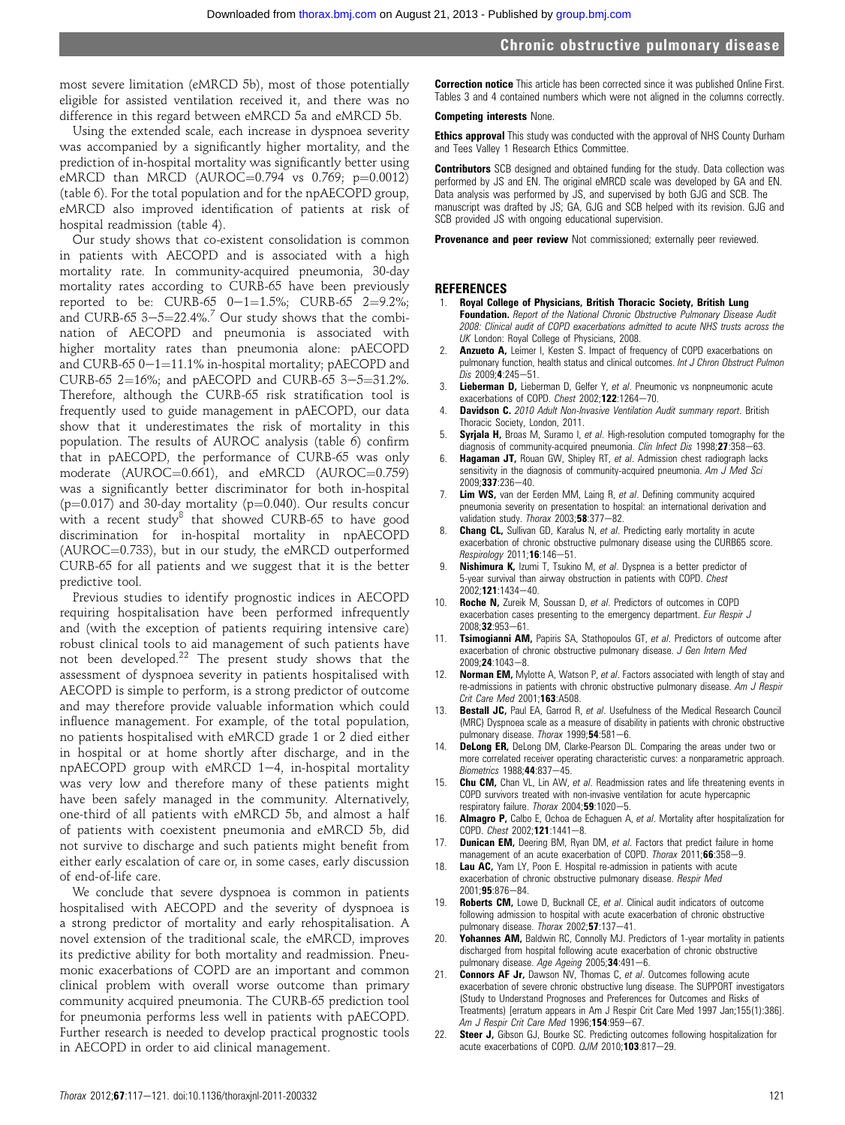most severe limitation (eMRCD 5b), most of those potentially eligible for assisted ventilation received it, and there was no difference in this regard between eMRCD 5a and eMRCD 5b.

Using the extended scale, each increase in dyspnoea severity was accompanied by a significantly higher mortality, and the prediction of in-hospital mortality was significantly better using eMRCD than MRCD (AUROC= $0.794$  vs  $0.769$ ; p= $0.0012$ ) (table 6). For the total population and for the npAECOPD group, eMRCD also improved identification of patients at risk of hospital readmission (table 4).

Our study shows that co-existent consolidation is common in patients with AECOPD and is associated with a high mortality rate. In community-acquired pneumonia, 30-day mortality rates according to CURB-65 have been previously reported to be: CURB-65  $0-1=1.5\%$ ; CURB-65  $2=9.2\%$ ; and CURB-65  $3-5=22.4\%$ .<sup>7</sup> Our study shows that the combination of AECOPD and pneumonia is associated with higher mortality rates than pneumonia alone: pAECOPD and CURB-65  $0-1=11.1\%$  in-hospital mortality; pAECOPD and CURB-65 2=16%; and pAECOPD and CURB-65 3-5=31.2%. Therefore, although the CURB-65 risk stratification tool is frequently used to guide management in pAECOPD, our data show that it underestimates the risk of mortality in this population. The results of AUROC analysis (table 6) confirm that in pAECOPD, the performance of CURB-65 was only moderate (AUROC=0.661), and eMRCD (AUROC=0.759) was a significantly better discriminator for both in-hospital ( $p=0.017$ ) and 30-day mortality ( $p=0.040$ ). Our results concur with a recent study<sup>8</sup> that showed CURB-65 to have good discrimination for in-hospital mortality in npAECOPD  $(AUROC=0.733)$ , but in our study, the eMRCD outperformed CURB-65 for all patients and we suggest that it is the better predictive tool.

Previous studies to identify prognostic indices in AECOPD requiring hospitalisation have been performed infrequently and (with the exception of patients requiring intensive care) robust clinical tools to aid management of such patients have not been developed.<sup>22</sup> The present study shows that the assessment of dyspnoea severity in patients hospitalised with AECOPD is simple to perform, is a strong predictor of outcome and may therefore provide valuable information which could influence management. For example, of the total population, no patients hospitalised with eMRCD grade 1 or 2 died either in hospital or at home shortly after discharge, and in the  $npAECOPD$  group with eMRCD 1-4, in-hospital mortality was very low and therefore many of these patients might have been safely managed in the community. Alternatively, one-third of all patients with eMRCD 5b, and almost a half of patients with coexistent pneumonia and eMRCD 5b, did not survive to discharge and such patients might benefit from either early escalation of care or, in some cases, early discussion of end-of-life care.

We conclude that severe dyspnoea is common in patients hospitalised with AECOPD and the severity of dyspnoea is a strong predictor of mortality and early rehospitalisation. A novel extension of the traditional scale, the eMRCD, improves its predictive ability for both mortality and readmission. Pneumonic exacerbations of COPD are an important and common clinical problem with overall worse outcome than primary community acquired pneumonia. The CURB-65 prediction tool for pneumonia performs less well in patients with pAECOPD. Further research is needed to develop practical prognostic tools in AECOPD in order to aid clinical management.

**Correction notice** This article has been corrected since it was published Online First. Tables 3 and 4 contained numbers which were not aligned in the columns correctly.

#### Competing interests None.

**Ethics approval** This study was conducted with the approval of NHS County Durham and Tees Valley 1 Research Ethics Committee.

Contributors SCB designed and obtained funding for the study. Data collection was performed by JS and EN. The original eMRCD scale was developed by GA and EN. Data analysis was performed by JS, and supervised by both GJG and SCB. The manuscript was drafted by JS; GA, GJG and SCB helped with its revision. GJG and SCB provided JS with ongoing educational supervision.

Provenance and peer review Not commissioned; externally peer reviewed.

#### **REFERENCES**

- 1. Royal College of Physicians, British Thoracic Society, British Lung Foundation. Report of the National Chronic Obstructive Pulmonary Disease Audit 2008: Clinical audit of COPD exacerbations admitted to acute NHS trusts across the UK London: Royal College of Physicians, 2008.
- 2. **Anzueto A,** Leimer I, Kesten S. Impact of frequency of COPD exacerbations on pulmonary function, health status and clinical outcomes. Int J Chron Obstruct Pulmon  $Dis$  2009: $4:245-51$ .
- Lieberman D, Lieberman D, Gelfer Y, et al. Pneumonic vs nonpneumonic acute exacerbations of COPD. Chest  $2002; 122:1264-70$ .
- Davidson C. 2010 Adult Non-Invasive Ventilation Audit summary report. British Thoracic Society, London, 2011.
- 5. **Syriala H,** Broas M, Suramo I, et al. High-resolution computed tomography for the diagnosis of community-acquired pneumonia. Clin Infect Dis  $1998;27:358-63$ .
- 6. **Hagaman JT,** Rouan GW, Shipley RT, et al. Admission chest radiograph lacks sensitivity in the diagnosis of community-acquired pneumonia. Am J Med Sci 2009;337:236-40.
- Lim WS, van der Eerden MM, Laing R, et al. Defining community acquired pneumonia severity on presentation to hospital: an international derivation and validation study. Thorax  $2003;58:377-82$ .
- 8. Chang CL, Sullivan GD, Karalus N, et al. Predicting early mortality in acute exacerbation of chronic obstructive pulmonary disease using the CURB65 score.  $Respiology 2011; 16:146 - 51.$
- Nishimura K, Izumi T, Tsukino M, et al. Dyspnea is a better predictor of 5-year survival than airway obstruction in patients with COPD. Chest  $2002 \cdot 121 \cdot 1434 - 40$
- 10. **Roche N,** Zureik M, Soussan D, et al. Predictors of outcomes in COPD exacerbation cases presenting to the emergency department. Eur Respir J 2008:32:953-61.
- 11. Tsimogianni AM, Papiris SA, Stathopoulos GT, et al. Predictors of outcome after exacerbation of chronic obstructive pulmonary disease. J Gen Intern Med  $2009:24:1043-8.$
- 12. Norman EM, Mylotte A, Watson P, et al. Factors associated with length of stay and re-admissions in patients with chronic obstructive pulmonary disease. Am J Respir Crit Care Med 2001:**163**: A508.
- 13. Bestall JC, Paul EA, Garrod R, et al. Usefulness of the Medical Research Council (MRC) Dyspnoea scale as a measure of disability in patients with chronic obstructive pulmonary disease. Thorax  $1999,54.581-6$ .
- **DeLong ER, DeLong DM, Clarke-Pearson DL. Comparing the areas under two or** more correlated receiver operating characteristic curves: a nonparametric approach. Biometrics 1988:44:837-45.
- 15. Chu CM, Chan VL, Lin AW, et al. Readmission rates and life threatening events in COPD survivors treated with non-invasive ventilation for acute hypercapnic respiratory failure. Thorax 2004;59:1020-5.
- 16. **Almagro P,** Calbo E, Ochoa de Echaguen A, et al. Mortality after hospitalization for COPD. Chest 2002;121:1441-8.
- 17. Dunican EM, Deering BM, Ryan DM, et al. Factors that predict failure in home management of an acute exacerbation of COPD. Thorax 2011;66:358-9.
- Lau AC, Yam LY, Poon E. Hospital re-admission in patients with acute exacerbation of chronic obstructive pulmonary disease. Respir Med  $2001:95:876-84$
- 19. Roberts CM, Lowe D, Bucknall CE, et al. Clinical audit indicators of outcome following admission to hospital with acute exacerbation of chronic obstructive pulmonary disease. Thorax  $2002; 57:137-41$ .
- 20. **Yohannes AM, Baldwin RC, Connolly MJ. Predictors of 1-year mortality in patients** discharged from hospital following acute exacerbation of chronic obstructive pulmonary disease. Age Ageing 2005; 34:491-6.
- Connors AF Jr, Dawson NV, Thomas C, et al. Outcomes following acute exacerbation of severe chronic obstructive lung disease. The SUPPORT investigators (Study to Understand Prognoses and Preferences for Outcomes and Risks of Treatments) [erratum appears in Am J Respir Crit Care Med 1997 Jan;155(1):386]. Am J Respir Crit Care Med 1996;154:959-67.
- 22. Steer J, Gibson GJ, Bourke SC. Predicting outcomes following hospitalization for acute exacerbations of COPD.  $QJM$  2010; 103:817-29.